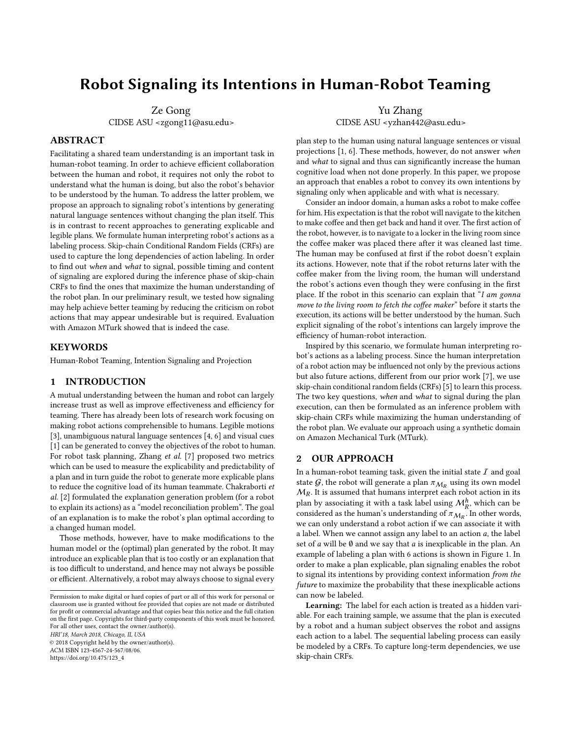# Robot Signaling its Intentions in Human-Robot Teaming

Ze Gong CIDSE ASU <zgong11@asu.edu>

# ABSTRACT

Facilitating a shared team understanding is an important task in human-robot teaming. In order to achieve efficient collaboration between the human and robot, it requires not only the robot to understand what the human is doing, but also the robot's behavior to be understood by the human. To address the latter problem, we propose an approach to signaling robot's intentions by generating natural language sentences without changing the plan itself. This is in contrast to recent approaches to generating explicable and legible plans. We formulate human interpreting robot's actions as a labeling process. Skip-chain Conditional Random Fields (CRFs) are used to capture the long dependencies of action labeling. In order to find out when and what to signal, possible timing and content of signaling are explored during the inference phase of skip-chain CRFs to find the ones that maximize the human understanding of the robot plan. In our preliminary result, we tested how signaling may help achieve better teaming by reducing the criticism on robot actions that may appear undesirable but is required. Evaluation with Amazon MTurk showed that is indeed the case.

# **KEYWORDS**

Human-Robot Teaming, Intention Signaling and Projection

#### 1 INTRODUCTION

A mutual understanding between the human and robot can largely increase trust as well as improve effectiveness and efficiency for teaming. There has already been lots of research work focusing on making robot actions comprehensible to humans. Legible motions [\[3\]](#page-1-0), unambiguous natural language sentences [\[4,](#page-1-1) [6\]](#page-1-2) and visual cues [\[1\]](#page-1-3) can be generated to convey the objectives of the robot to human. For robot task planning, Zhang et al. [\[7\]](#page-1-4) proposed two metrics which can be used to measure the explicability and predictability of a plan and in turn guide the robot to generate more explicable plans to reduce the cognitive load of its human teammate. Chakraborti et al. [\[2\]](#page-1-5) formulated the explanation generation problem (for a robot to explain its actions) as a "model reconciliation problem". The goal of an explanation is to make the robot's plan optimal according to a changed human model.

Those methods, however, have to make modifications to the human model or the (optimal) plan generated by the robot. It may introduce an explicable plan that is too costly or an explanation that is too difficult to understand, and hence may not always be possible or efficient. Alternatively, a robot may always choose to signal every

© 2018 Copyright held by the owner/author(s). ACM ISBN 123-4567-24-567/08/06.

[https://doi.org/10.475/123\\_4](https://doi.org/10.475/123_4)

Yu Zhang CIDSE ASU <yzhan442@asu.edu>

plan step to the human using natural language sentences or visual projections [\[1,](#page-1-3) [6\]](#page-1-2). These methods, however, do not answer when and what to signal and thus can significantly increase the human cognitive load when not done properly. In this paper, we propose an approach that enables a robot to convey its own intentions by signaling only when applicable and with what is necessary.

Consider an indoor domain, a human asks a robot to make coffee for him. His expectation is that the robot will navigate to the kitchen to make coffee and then get back and hand it over. The first action of the robot, however, is to navigate to a locker in the living room since the coffee maker was placed there after it was cleaned last time. The human may be confused at first if the robot doesn't explain its actions. However, note that if the robot returns later with the coffee maker from the living room, the human will understand the robot's actions even though they were confusing in the first place. If the robot in this scenario can explain that "I am gonna move to the living room to fetch the coffee maker" before it starts the execution, its actions will be better understood by the human. Such explicit signaling of the robot's intentions can largely improve the efficiency of human-robot interaction.

Inspired by this scenario, we formulate human interpreting robot's actions as a labeling process. Since the human interpretation of a robot action may be influenced not only by the previous actions but also future actions, different from our prior work [\[7\]](#page-1-4), we use skip-chain conditional random fields (CRFs) [\[5\]](#page-1-6) to learn this process. The two key questions, when and what to signal during the plan execution, can then be formulated as an inference problem with skip-chain CRFs while maximizing the human understanding of the robot plan. We evaluate our approach using a synthetic domain on Amazon Mechanical Turk (MTurk).

### 2 OUR APPROACH

In a human-robot teaming task, given the initial state  $I$  and goal state  $\mathcal G,$  the robot will generate a plan  $\pi_{\mathcal M_R}$  using its own model  $M_R$ . It is assumed that humans interpret each robot action in its<br>plan by associating it with a task label using  $M_h^h$  which can be plan by associating it with a task label using  $\mathcal{M}_R^h$ <br>considered as the human's understanding of  $\pi_{M_{\pm}}$ . , which can be considered as the human's understanding of  $\pi_{\mathcal{M}_R}.$  In other words, we can only understand a robot action if we can associate it with a label. When we cannot assign any label to an action a, the label set of  $a$  will be  $\emptyset$  and we say that  $a$  is inexplicable in the plan. An example of labeling a plan with 6 actions is shown in Figure [1.](#page-1-7) In order to make a plan explicable, plan signaling enables the robot to signal its intentions by providing context information from the future to maximize the probability that these inexplicable actions can now be labeled.

Learning: The label for each action is treated as a hidden variable. For each training sample, we assume that the plan is executed by a robot and a human subject observes the robot and assigns each action to a label. The sequential labeling process can easily be modeled by a CRFs. To capture long-term dependencies, we use skip-chain CRFs.

Permission to make digital or hard copies of part or all of this work for personal or classroom use is granted without fee provided that copies are not made or distributed for profit or commercial advantage and that copies bear this notice and the full citation on the first page. Copyrights for third-party components of this work must be honored. For all other uses, contact the owner/author(s). HRI'18, March 2018, Chicago, IL USA